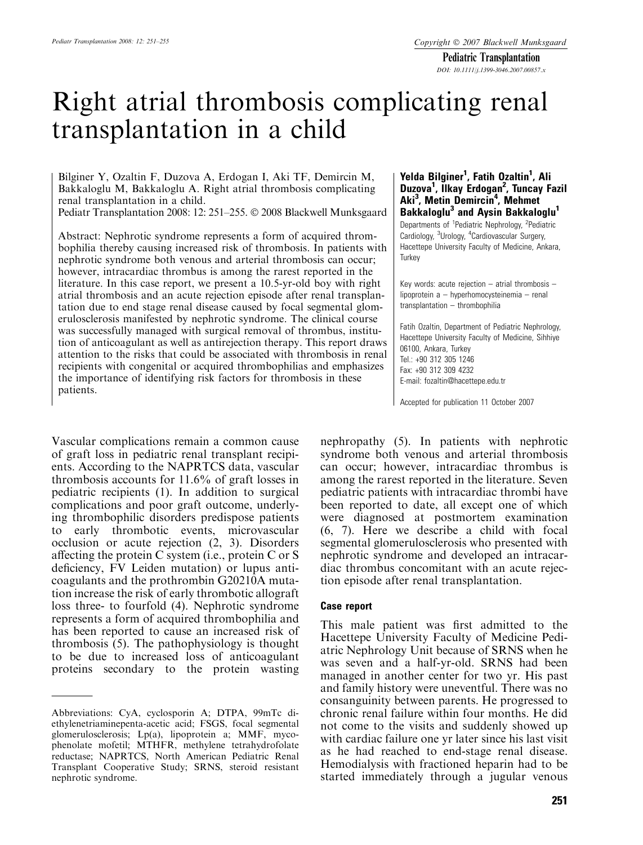Pediatric Transplantation DOI: 10.1111/j.1399-3046.2007.00857.x

# Right atrial thrombosis complicating renal transplantation in a child

Bilginer Y, Ozaltin F, Duzova A, Erdogan I, Aki TF, Demircin M, Bakkaloglu M, Bakkaloglu A. Right atrial thrombosis complicating renal transplantation in a child.

Pediatr Transplantation 2008: 12: 251–255. © 2008 Blackwell Munksgaard

Abstract: Nephrotic syndrome represents a form of acquired thrombophilia thereby causing increased risk of thrombosis. In patients with nephrotic syndrome both venous and arterial thrombosis can occur; however, intracardiac thrombus is among the rarest reported in the literature. In this case report, we present a 10.5-yr-old boy with right atrial thrombosis and an acute rejection episode after renal transplantation due to end stage renal disease caused by focal segmental glomerulosclerosis manifested by nephrotic syndrome. The clinical course was successfully managed with surgical removal of thrombus, institution of anticoagulant as well as antirejection therapy. This report draws attention to the risks that could be associated with thrombosis in renal recipients with congenital or acquired thrombophilias and emphasizes the importance of identifying risk factors for thrombosis in these patients.

Vascular complications remain a common cause of graft loss in pediatric renal transplant recipients. According to the NAPRTCS data, vascular thrombosis accounts for 11.6% of graft losses in pediatric recipients (1). In addition to surgical complications and poor graft outcome, underlying thrombophilic disorders predispose patients to early thrombotic events, microvascular occlusion or acute rejection (2, 3). Disorders affecting the protein C system (i.e., protein C or S deficiency, FV Leiden mutation) or lupus anticoagulants and the prothrombin G20210A mutation increase the risk of early thrombotic allograft loss three- to fourfold (4). Nephrotic syndrome represents a form of acquired thrombophilia and has been reported to cause an increased risk of thrombosis (5). The pathophysiology is thought to be due to increased loss of anticoagulant proteins secondary to the protein wasting

Yelda Bilginer<sup>1</sup>, Fatih Ozaltin<sup>1</sup>, Ali Duzova<sup>1</sup>, Ilkay Erdogan<sup>2</sup>, Tuncay Fazil Aki<sup>3</sup>, Metin Demircin<sup>4</sup>, Mehmet Bakkaloglu<sup>3</sup> and Aysin Bakkaloglu<sup>1</sup> Departments of <sup>1</sup>Pediatric Nephrology, <sup>2</sup>Pediatric Cardiology, <sup>3</sup>Urology, <sup>4</sup>Cardiovascular Surgery, Hacettepe University Faculty of Medicine, Ankara, **Turkey** 

Key words: acute rejection  $-$  atrial thrombosis  $$ lipoprotein a – hyperhomocysteinemia – renal transplantation – thrombophilia

Fatih Ozaltin, Department of Pediatric Nephrology, Hacettepe University Faculty of Medicine, Sihhiye 06100, Ankara, Turkey Tel.: +90 312 305 1246 Fax: +90 312 309 4232 E-mail: fozaltin@hacettepe.edu.tr

Accepted for publication 11 October 2007

nephropathy (5). In patients with nephrotic syndrome both venous and arterial thrombosis can occur; however, intracardiac thrombus is among the rarest reported in the literature. Seven pediatric patients with intracardiac thrombi have been reported to date, all except one of which were diagnosed at postmortem examination (6, 7). Here we describe a child with focal segmental glomerulosclerosis who presented with nephrotic syndrome and developed an intracardiac thrombus concomitant with an acute rejection episode after renal transplantation.

#### Case report

This male patient was first admitted to the Hacettepe University Faculty of Medicine Pediatric Nephrology Unit because of SRNS when he was seven and a half-yr-old. SRNS had been managed in another center for two yr. His past and family history were uneventful. There was no consanguinity between parents. He progressed to chronic renal failure within four months. He did not come to the visits and suddenly showed up with cardiac failure one yr later since his last visit as he had reached to end-stage renal disease. Hemodialysis with fractioned heparin had to be started immediately through a jugular venous

Abbreviations: CyA, cyclosporin A; DTPA, 99mTc diethylenetriaminepenta-acetic acid; FSGS, focal segmental glomerulosclerosis; Lp(a), lipoprotein a; MMF, mycophenolate mofetil; MTHFR, methylene tetrahydrofolate reductase; NAPRTCS, North American Pediatric Renal Transplant Cooperative Study; SRNS, steroid resistant nephrotic syndrome.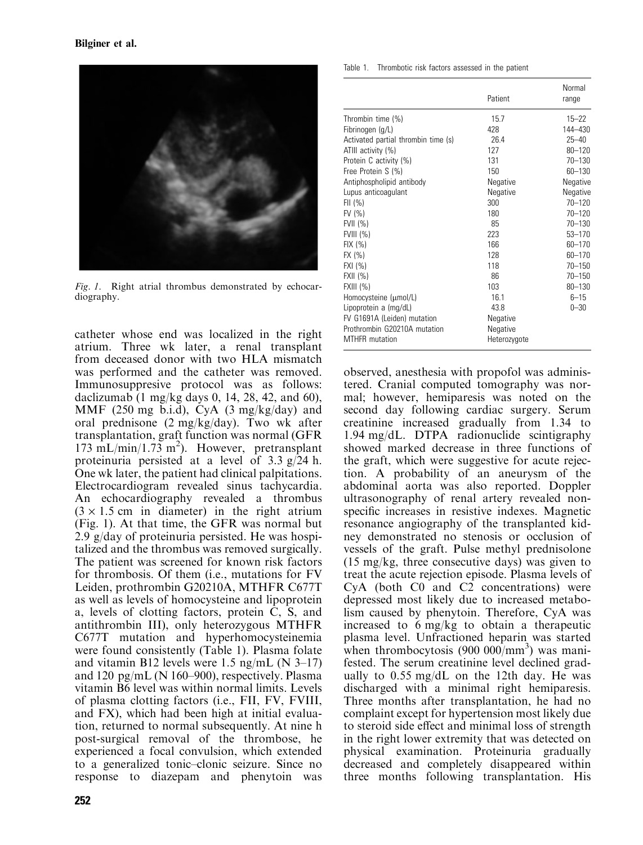

Fig. 1. Right atrial thrombus demonstrated by echocardiography.

catheter whose end was localized in the right atrium. Three wk later, a renal transplant from deceased donor with two HLA mismatch was performed and the catheter was removed. Immunosuppresive protocol was as follows: daclizumab (1 mg/kg days 0, 14, 28, 42, and 60), MMF (250 mg b.i.d), CyA (3 mg/kg/day) and oral prednisone (2 mg/kg/day). Two wk after transplantation, graft function was normal (GFR 173 mL/min/1.73 m2 ). However, pretransplant proteinuria persisted at a level of 3.3 g/24 h. One wk later, the patient had clinical palpitations. Electrocardiogram revealed sinus tachycardia. An echocardiography revealed a thrombus  $(3 \times 1.5 \text{ cm}$  in diameter) in the right atrium (Fig. 1). At that time, the GFR was normal but 2.9 g/day of proteinuria persisted. He was hospitalized and the thrombus was removed surgically. The patient was screened for known risk factors for thrombosis. Of them (i.e., mutations for FV Leiden, prothrombin G20210A, MTHFR C677T as well as levels of homocysteine and lipoprotein a, levels of clotting factors, protein C, S, and antithrombin III), only heterozygous MTHFR C677T mutation and hyperhomocysteinemia were found consistently (Table 1). Plasma folate and vitamin B12 levels were 1.5 ng/mL  $(N 3-17)$ and 120 pg/mL (N 160–900), respectively. Plasma vitamin B6 level was within normal limits. Levels of plasma clotting factors (i.e., FII, FV, FVIII, and FX), which had been high at initial evaluation, returned to normal subsequently. At nine h post-surgical removal of the thrombose, he experienced a focal convulsion, which extended to a generalized tonic–clonic seizure. Since no response to diazepam and phenytoin was

Table 1. Thrombotic risk factors assessed in the patient

|                                     | Patient      | Normal<br>range |
|-------------------------------------|--------------|-----------------|
| Thrombin time (%)                   | 15.7         | $15 - 22$       |
| Fibrinogen (g/L)                    | 428          | 144-430         |
| Activated partial thrombin time (s) | 26.4         | $25 - 40$       |
| ATIII activity (%)                  | 127          | $80 - 120$      |
| Protein C activity (%)              | 131          | $70 - 130$      |
| Free Protein S (%)                  | 150          | $60 - 130$      |
| Antiphospholipid antibody           | Negative     | Negative        |
| Lupus anticoagulant                 | Negative     | Negative        |
| FII (%)                             | 300          | $70 - 120$      |
| FV (%)                              | 180          | $70 - 120$      |
| FVII (%)                            | 85           | $70 - 130$      |
| FVIII (%)                           | 223          | $53 - 170$      |
| FIX (%)                             | 166          | $60 - 170$      |
| FX (%)                              | 128          | $60 - 170$      |
| FXI (%)                             | 118          | $70 - 150$      |
| FXII (%)                            | 86           | $70 - 150$      |
| FXIII (%)                           | 103          | $80 - 130$      |
| Homocysteine (µmol/L)               | 16.1         | $6 - 15$        |
| Lipoprotein a (mg/dL)               | 43.8         | $0 - 30$        |
| FV G1691A (Leiden) mutation         | Negative     |                 |
| Prothrombin G20210A mutation        | Negative     |                 |
| <b>MTHFR</b> mutation               | Heterozygote |                 |

observed, anesthesia with propofol was administered. Cranial computed tomography was normal; however, hemiparesis was noted on the second day following cardiac surgery. Serum creatinine increased gradually from 1.34 to 1.94 mg/dL. DTPA radionuclide scintigraphy showed marked decrease in three functions of the graft, which were suggestive for acute rejection. A probability of an aneurysm of the abdominal aorta was also reported. Doppler ultrasonography of renal artery revealed nonspecific increases in resistive indexes. Magnetic resonance angiography of the transplanted kidney demonstrated no stenosis or occlusion of vessels of the graft. Pulse methyl prednisolone (15 mg/kg, three consecutive days) was given to treat the acute rejection episode. Plasma levels of CyA (both C0 and C2 concentrations) were depressed most likely due to increased metabolism caused by phenytoin. Therefore, CyA was increased to 6 mg/kg to obtain a therapeutic plasma level. Unfractioned heparin was started when thrombocytosis (900 000/mm<sup>3</sup>) was manifested. The serum creatinine level declined gradually to 0.55 mg/dL on the 12th day. He was discharged with a minimal right hemiparesis. Three months after transplantation, he had no complaint except for hypertension most likely due to steroid side effect and minimal loss of strength in the right lower extremity that was detected on physical examination. Proteinuria gradually decreased and completely disappeared within three months following transplantation. His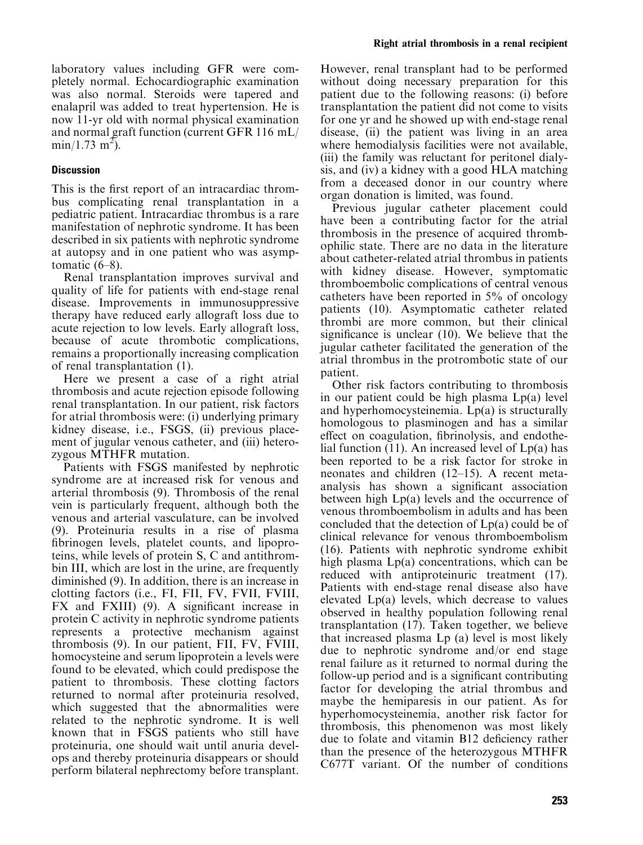laboratory values including GFR were completely normal. Echocardiographic examination was also normal. Steroids were tapered and enalapril was added to treat hypertension. He is now 11-yr old with normal physical examination and normal graft function (current GFR 116 mL/  $\min/1.73 \, \text{m}^2$ ).

### **Discussion**

This is the first report of an intracardiac thrombus complicating renal transplantation in a pediatric patient. Intracardiac thrombus is a rare manifestation of nephrotic syndrome. It has been described in six patients with nephrotic syndrome at autopsy and in one patient who was asymptomatic (6–8).

Renal transplantation improves survival and quality of life for patients with end-stage renal disease. Improvements in immunosuppressive therapy have reduced early allograft loss due to acute rejection to low levels. Early allograft loss, because of acute thrombotic complications, remains a proportionally increasing complication of renal transplantation (1).

Here we present a case of a right atrial thrombosis and acute rejection episode following renal transplantation. In our patient, risk factors for atrial thrombosis were: (i) underlying primary kidney disease, i.e., FSGS, (ii) previous placement of jugular venous catheter, and (iii) heterozygous MTHFR mutation.

Patients with FSGS manifested by nephrotic syndrome are at increased risk for venous and arterial thrombosis (9). Thrombosis of the renal vein is particularly frequent, although both the venous and arterial vasculature, can be involved (9). Proteinuria results in a rise of plasma fibrinogen levels, platelet counts, and lipoproteins, while levels of protein S, C and antithrombin III, which are lost in the urine, are frequently diminished (9). In addition, there is an increase in clotting factors (i.e., FI, FII, FV, FVII, FVIII, FX and FXIII) (9). A significant increase in protein C activity in nephrotic syndrome patients represents a protective mechanism against thrombosis (9). In our patient, FII, FV, FVIII, homocysteine and serum lipoprotein a levels were found to be elevated, which could predispose the patient to thrombosis. These clotting factors returned to normal after proteinuria resolved, which suggested that the abnormalities were related to the nephrotic syndrome. It is well known that in FSGS patients who still have proteinuria, one should wait until anuria develops and thereby proteinuria disappears or should perform bilateral nephrectomy before transplant.

However, renal transplant had to be performed without doing necessary preparation for this patient due to the following reasons: (i) before transplantation the patient did not come to visits for one yr and he showed up with end-stage renal disease, (ii) the patient was living in an area where hemodialysis facilities were not available, (iii) the family was reluctant for peritonel dialysis, and (iv) a kidney with a good HLA matching from a deceased donor in our country where organ donation is limited, was found.

Previous jugular catheter placement could have been a contributing factor for the atrial thrombosis in the presence of acquired thrombophilic state. There are no data in the literature about catheter-related atrial thrombus in patients with kidney disease. However, symptomatic thromboembolic complications of central venous catheters have been reported in 5% of oncology patients (10). Asymptomatic catheter related thrombi are more common, but their clinical significance is unclear (10). We believe that the jugular catheter facilitated the generation of the atrial thrombus in the protrombotic state of our patient.

Other risk factors contributing to thrombosis in our patient could be high plasma  $Lp(a)$  level and hyperhomocysteinemia. Lp(a) is structurally homologous to plasminogen and has a similar effect on coagulation, fibrinolysis, and endothelial function (11). An increased level of  $Lp(a)$  has been reported to be a risk factor for stroke in neonates and children (12–15). A recent metaanalysis has shown a significant association between high Lp(a) levels and the occurrence of venous thromboembolism in adults and has been concluded that the detection of Lp(a) could be of clinical relevance for venous thromboembolism (16). Patients with nephrotic syndrome exhibit high plasma Lp(a) concentrations, which can be reduced with antiproteinuric treatment (17). Patients with end-stage renal disease also have elevated Lp(a) levels, which decrease to values observed in healthy population following renal transplantation (17). Taken together, we believe that increased plasma Lp (a) level is most likely due to nephrotic syndrome and/or end stage renal failure as it returned to normal during the follow-up period and is a significant contributing factor for developing the atrial thrombus and maybe the hemiparesis in our patient. As for hyperhomocysteinemia, another risk factor for thrombosis, this phenomenon was most likely due to folate and vitamin B12 deficiency rather than the presence of the heterozygous MTHFR C677T variant. Of the number of conditions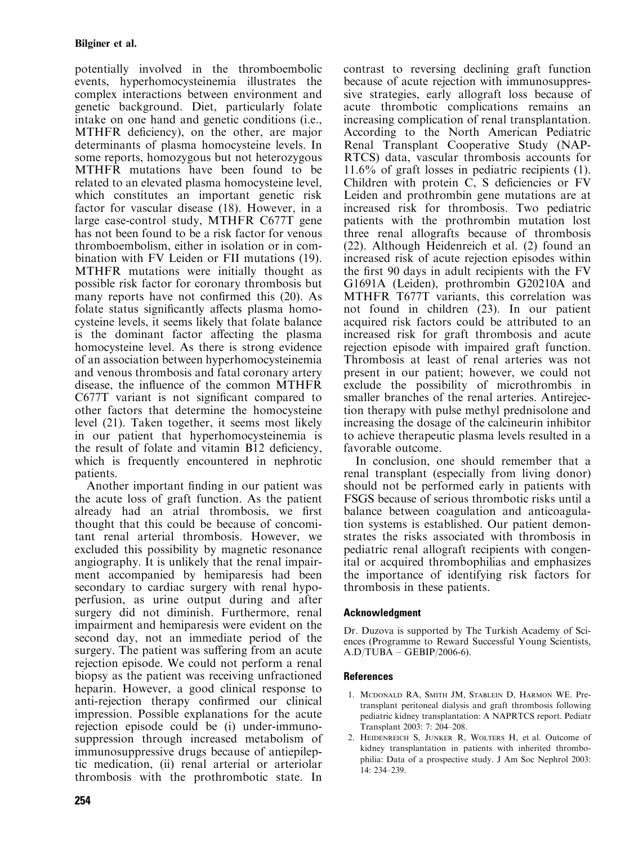potentially involved in the thromboembolic events, hyperhomocysteinemia illustrates the complex interactions between environment and genetic background. Diet, particularly folate intake on one hand and genetic conditions (i.e., MTHFR deficiency), on the other, are major determinants of plasma homocysteine levels. In some reports, homozygous but not heterozygous MTHFR mutations have been found to be related to an elevated plasma homocysteine level, which constitutes an important genetic risk factor for vascular disease (18). However, in a large case-control study, MTHFR C677T gene has not been found to be a risk factor for venous thromboembolism, either in isolation or in combination with FV Leiden or FII mutations (19). MTHFR mutations were initially thought as possible risk factor for coronary thrombosis but many reports have not confirmed this (20). As folate status significantly affects plasma homocysteine levels, it seems likely that folate balance is the dominant factor affecting the plasma homocysteine level. As there is strong evidence of an association between hyperhomocysteinemia and venous thrombosis and fatal coronary artery disease, the influence of the common MTHFR C677T variant is not significant compared to other factors that determine the homocysteine level (21). Taken together, it seems most likely in our patient that hyperhomocysteinemia is the result of folate and vitamin B12 deficiency, which is frequently encountered in nephrotic patients.

Another important finding in our patient was the acute loss of graft function. As the patient already had an atrial thrombosis, we first thought that this could be because of concomitant renal arterial thrombosis. However, we excluded this possibility by magnetic resonance angiography. It is unlikely that the renal impairment accompanied by hemiparesis had been secondary to cardiac surgery with renal hypoperfusion, as urine output during and after surgery did not diminish. Furthermore, renal impairment and hemiparesis were evident on the second day, not an immediate period of the surgery. The patient was suffering from an acute rejection episode. We could not perform a renal biopsy as the patient was receiving unfractioned heparin. However, a good clinical response to anti-rejection therapy confirmed our clinical impression. Possible explanations for the acute rejection episode could be (i) under-immunosuppression through increased metabolism of immunosuppressive drugs because of antiepileptic medication, (ii) renal arterial or arteriolar thrombosis with the prothrombotic state. In

contrast to reversing declining graft function because of acute rejection with immunosuppressive strategies, early allograft loss because of acute thrombotic complications remains an increasing complication of renal transplantation. According to the North American Pediatric Renal Transplant Cooperative Study (NAP-RTCS) data, vascular thrombosis accounts for 11.6% of graft losses in pediatric recipients (1). Children with protein C, S deficiencies or FV Leiden and prothrombin gene mutations are at increased risk for thrombosis. Two pediatric patients with the prothrombin mutation lost three renal allografts because of thrombosis (22). Although Heidenreich et al. (2) found an increased risk of acute rejection episodes within the first 90 days in adult recipients with the FV G1691A (Leiden), prothrombin G20210A and MTHFR T677T variants, this correlation was not found in children (23). In our patient acquired risk factors could be attributed to an increased risk for graft thrombosis and acute rejection episode with impaired graft function. Thrombosis at least of renal arteries was not present in our patient; however, we could not exclude the possibility of microthrombis in smaller branches of the renal arteries. Antirejection therapy with pulse methyl prednisolone and increasing the dosage of the calcineurin inhibitor to achieve therapeutic plasma levels resulted in a favorable outcome.

In conclusion, one should remember that a renal transplant (especially from living donor) should not be performed early in patients with FSGS because of serious thrombotic risks until a balance between coagulation and anticoagulation systems is established. Our patient demonstrates the risks associated with thrombosis in pediatric renal allograft recipients with congenital or acquired thrombophilias and emphasizes the importance of identifying risk factors for thrombosis in these patients.

## Acknowledgment

Dr. Duzova is supported by The Turkish Academy of Sciences (Programme to Reward Successful Young Scientists, A.D/TUBA – GEBIP/2006-6).

## References

- 1. Mcdonald RA, Smith JM, Stablein D, Harmon WE. Pretransplant peritoneal dialysis and graft thrombosis following pediatric kidney transplantation: A NAPRTCS report. Pediatr Transplant 2003: 7: 204–208.
- 2. Heidenreich S, Junker R, Wolters H, et al. Outcome of kidney transplantation in patients with inherited thrombophilia: Data of a prospective study. J Am Soc Nephrol 2003: 14: 234–239.